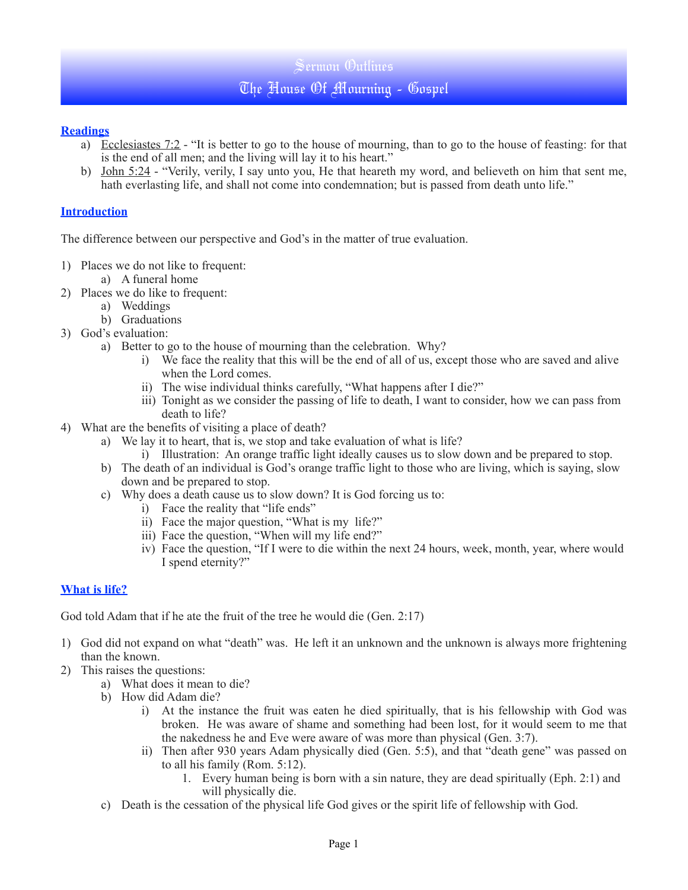# Sermon Outlines

# The House Of Mourning - Gospel

## **Readings**

- a) Ecclesiastes 7:2 "It is better to go to the house of mourning, than to go to the house of feasting: for that is the end of all men; and the living will lay it to his heart."
- b) John 5:24 "Verily, verily, I say unto you, He that heareth my word, and believeth on him that sent me, hath everlasting life, and shall not come into condemnation; but is passed from death unto life."

## **Introduction**

The difference between our perspective and God's in the matter of true evaluation.

- 1) Places we do not like to frequent:
	- a) A funeral home
- 2) Places we do like to frequent:
	- a) Weddings
	- b) Graduations
- 3) God's evaluation:
	- a) Better to go to the house of mourning than the celebration. Why?
		- i) We face the reality that this will be the end of all of us, except those who are saved and alive when the Lord comes.
		- ii) The wise individual thinks carefully, "What happens after I die?"
		- iii) Tonight as we consider the passing of life to death, I want to consider, how we can pass from death to life?
- 4) What are the benefits of visiting a place of death?
	- a) We lay it to heart, that is, we stop and take evaluation of what is life?
		- i) Illustration: An orange traffic light ideally causes us to slow down and be prepared to stop.
	- b) The death of an individual is God's orange traffic light to those who are living, which is saying, slow down and be prepared to stop.
	- c) Why does a death cause us to slow down? It is God forcing us to:
		- i) Face the reality that "life ends"
		- ii) Face the major question, "What is my life?"
		- iii) Face the question, "When will my life end?"
		- iv) Face the question, "If I were to die within the next 24 hours, week, month, year, where would I spend eternity?"

# **What is life?**

God told Adam that if he ate the fruit of the tree he would die (Gen. 2:17)

- 1) God did not expand on what "death" was. He left it an unknown and the unknown is always more frightening than the known.
- 2) This raises the questions:
	- a) What does it mean to die?
	- b) How did Adam die?
		- i) At the instance the fruit was eaten he died spiritually, that is his fellowship with God was broken. He was aware of shame and something had been lost, for it would seem to me that the nakedness he and Eve were aware of was more than physical (Gen. 3:7).
		- ii) Then after 930 years Adam physically died (Gen. 5:5), and that "death gene" was passed on to all his family (Rom. 5:12).
			- 1. Every human being is born with a sin nature, they are dead spiritually (Eph. 2:1) and will physically die.
	- c) Death is the cessation of the physical life God gives or the spirit life of fellowship with God.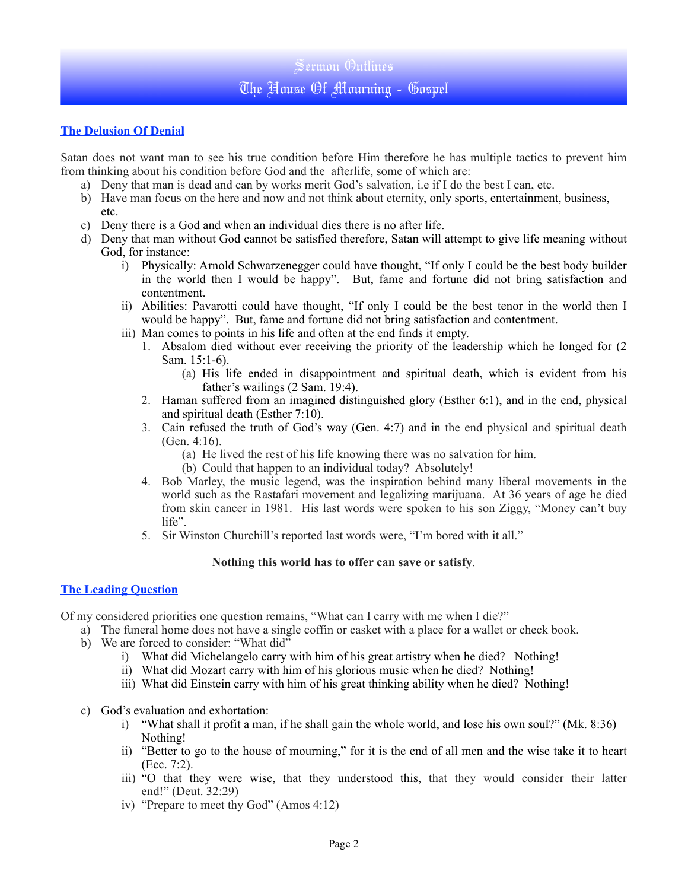# Sermon Outlines

# The House Of Mourning - Gospel

# **The Delusion Of Denial**

Satan does not want man to see his true condition before Him therefore he has multiple tactics to prevent him from thinking about his condition before God and the afterlife, some of which are:

- a) Deny that man is dead and can by works merit God's salvation, i.e if I do the best I can, etc.
- b) Have man focus on the here and now and not think about eternity, only sports, entertainment, business, etc.
- c) Deny there is a God and when an individual dies there is no after life.
- d) Deny that man without God cannot be satisfied therefore, Satan will attempt to give life meaning without God, for instance:
	- i) Physically: Arnold Schwarzenegger could have thought, "If only I could be the best body builder in the world then I would be happy". But, fame and fortune did not bring satisfaction and contentment.
	- ii) Abilities: Pavarotti could have thought, "If only I could be the best tenor in the world then I would be happy". But, fame and fortune did not bring satisfaction and contentment.
	- iii) Man comes to points in his life and often at the end finds it empty.
		- 1. Absalom died without ever receiving the priority of the leadership which he longed for (2 Sam. 15:1-6).
			- (a) His life ended in disappointment and spiritual death, which is evident from his father's wailings (2 Sam. 19:4).
		- 2. Haman suffered from an imagined distinguished glory (Esther 6:1), and in the end, physical and spiritual death (Esther 7:10).
		- 3. Cain refused the truth of God's way (Gen. 4:7) and in the end physical and spiritual death (Gen. 4:16).
			- (a) He lived the rest of his life knowing there was no salvation for him.
			- (b) Could that happen to an individual today? Absolutely!
		- 4. Bob Marley, the music legend, was the inspiration behind many liberal movements in the world such as the Rastafari movement and legalizing marijuana. At 36 years of age he died from skin cancer in 1981. His last words were spoken to his son Ziggy, "Money can't buy life".
		- 5. Sir Winston Churchill's reported last words were, "I'm bored with it all."

#### **Nothing this world has to offer can save or satisfy**.

### **The Leading Question**

Of my considered priorities one question remains, "What can I carry with me when I die?"

- a) The funeral home does not have a single coffin or casket with a place for a wallet or check book.
- b) We are forced to consider: "What did"
	- i) What did Michelangelo carry with him of his great artistry when he died? Nothing!
	- ii) What did Mozart carry with him of his glorious music when he died? Nothing!
	- iii) What did Einstein carry with him of his great thinking ability when he died? Nothing!
- c) God's evaluation and exhortation:
	- i) "What shall it profit a man, if he shall gain the whole world, and lose his own soul?" (Mk. 8:36) Nothing!
	- ii) "Better to go to the house of mourning," for it is the end of all men and the wise take it to heart (Ecc. 7:2).
	- iii) "O that they were wise, that they understood this, that they would consider their latter end!" (Deut. 32:29)
	- iv) "Prepare to meet thy God" (Amos 4:12)